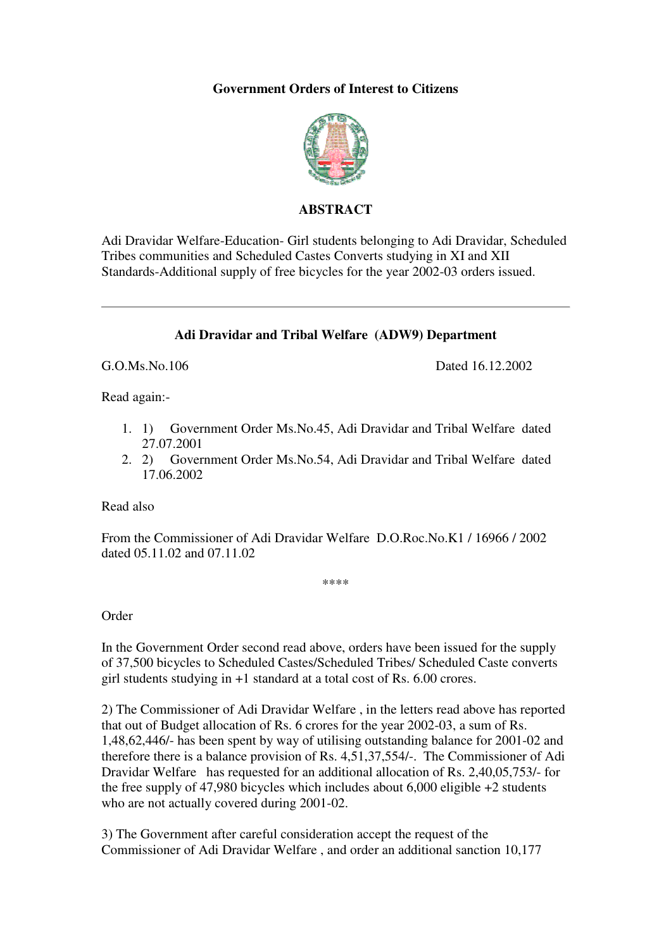# **Government Orders of Interest to Citizens**



## **ABSTRACT**

Adi Dravidar Welfare-Education- Girl students belonging to Adi Dravidar, Scheduled Tribes communities and Scheduled Castes Converts studying in XI and XII Standards-Additional supply of free bicycles for the year 2002-03 orders issued.

### **Adi Dravidar and Tribal Welfare (ADW9) Department**

G.O.Ms.No.106 Dated 16.12.2002

Read again:-

- 1. 1) Government Order Ms.No.45, Adi Dravidar and Tribal Welfare dated 27.07.2001
- 2. 2) Government Order Ms.No.54, Adi Dravidar and Tribal Welfare dated 17.06.2002

Read also

From the Commissioner of Adi Dravidar Welfare D.O.Roc.No.K1 / 16966 / 2002 dated 05.11.02 and 07.11.02

\*\*\*\*

Order

In the Government Order second read above, orders have been issued for the supply of 37,500 bicycles to Scheduled Castes/Scheduled Tribes/ Scheduled Caste converts girl students studying in +1 standard at a total cost of Rs. 6.00 crores.

2) The Commissioner of Adi Dravidar Welfare , in the letters read above has reported that out of Budget allocation of Rs. 6 crores for the year 2002-03, a sum of Rs. 1,48,62,446/- has been spent by way of utilising outstanding balance for 2001-02 and therefore there is a balance provision of Rs. 4,51,37,554/-. The Commissioner of Adi Dravidar Welfare has requested for an additional allocation of Rs. 2,40,05,753/- for the free supply of 47,980 bicycles which includes about 6,000 eligible +2 students who are not actually covered during 2001-02.

3) The Government after careful consideration accept the request of the Commissioner of Adi Dravidar Welfare , and order an additional sanction 10,177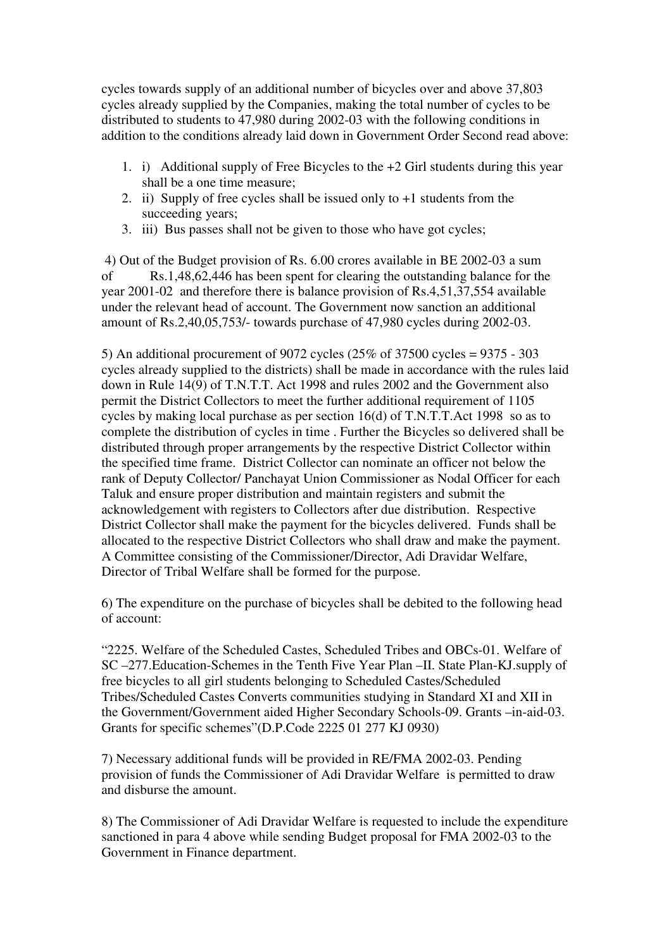cycles towards supply of an additional number of bicycles over and above 37,803 cycles already supplied by the Companies, making the total number of cycles to be distributed to students to 47,980 during 2002-03 with the following conditions in addition to the conditions already laid down in Government Order Second read above:

- 1. i) Additional supply of Free Bicycles to the +2 Girl students during this year shall be a one time measure;
- 2. ii) Supply of free cycles shall be issued only to  $+1$  students from the succeeding years;
- 3. iii) Bus passes shall not be given to those who have got cycles;

 4) Out of the Budget provision of Rs. 6.00 crores available in BE 2002-03 a sum of Rs.1,48,62,446 has been spent for clearing the outstanding balance for the year 2001-02 and therefore there is balance provision of Rs.4,51,37,554 available under the relevant head of account. The Government now sanction an additional amount of Rs.2,40,05,753/- towards purchase of 47,980 cycles during 2002-03.

5) An additional procurement of 9072 cycles (25% of 37500 cycles = 9375 - 303 cycles already supplied to the districts) shall be made in accordance with the rules laid down in Rule 14(9) of T.N.T.T. Act 1998 and rules 2002 and the Government also permit the District Collectors to meet the further additional requirement of 1105 cycles by making local purchase as per section 16(d) of T.N.T.T.Act 1998 so as to complete the distribution of cycles in time . Further the Bicycles so delivered shall be distributed through proper arrangements by the respective District Collector within the specified time frame. District Collector can nominate an officer not below the rank of Deputy Collector/ Panchayat Union Commissioner as Nodal Officer for each Taluk and ensure proper distribution and maintain registers and submit the acknowledgement with registers to Collectors after due distribution. Respective District Collector shall make the payment for the bicycles delivered. Funds shall be allocated to the respective District Collectors who shall draw and make the payment. A Committee consisting of the Commissioner/Director, Adi Dravidar Welfare, Director of Tribal Welfare shall be formed for the purpose.

6) The expenditure on the purchase of bicycles shall be debited to the following head of account:

"2225. Welfare of the Scheduled Castes, Scheduled Tribes and OBCs-01. Welfare of SC –277.Education-Schemes in the Tenth Five Year Plan –II. State Plan-KJ.supply of free bicycles to all girl students belonging to Scheduled Castes/Scheduled Tribes/Scheduled Castes Converts communities studying in Standard XI and XII in the Government/Government aided Higher Secondary Schools-09. Grants –in-aid-03. Grants for specific schemes"(D.P.Code 2225 01 277 KJ 0930)

7) Necessary additional funds will be provided in RE/FMA 2002-03. Pending provision of funds the Commissioner of Adi Dravidar Welfare is permitted to draw and disburse the amount.

8) The Commissioner of Adi Dravidar Welfare is requested to include the expenditure sanctioned in para 4 above while sending Budget proposal for FMA 2002-03 to the Government in Finance department.